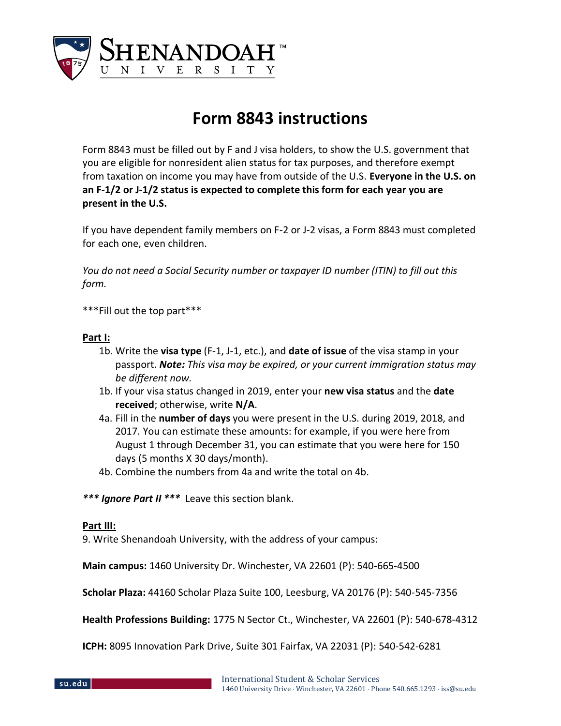

## **Form 8843 instructions**

Form 8843 must be filled out by F and J visa holders, to show the U.S. government that you are eligible for nonresident alien status for tax purposes, and therefore exempt from taxation on income you may have from outside of the U.S. **Everyone in the U.S. on an F-1/2 or J-1/2 status is expected to complete this form for each year you are present in the U.S.** 

If you have dependent family members on F-2 or J-2 visas, a Form 8843 must completed for each one, even children.

*You do not need a Social Security number or taxpayer ID number (ITIN) to fill out this form.* 

\*\*\*Fill out the top part\*\*\*

## **Part I:**

- 1b. Write the **visa type** (F-1, J-1, etc.), and **date of issue** of the visa stamp in your passport. *Note: This visa may be expired, or your current immigration status may be different now.*
- 1b. If your visa status changed in 2019, enter your **new visa status** and the **date received**; otherwise, write **N/A**.
- 4a. Fill in the **number of days** you were present in the U.S. during 2019, 2018, and 2017. You can estimate these amounts: for example, if you were here from August 1 through December 31, you can estimate that you were here for 150 days (5 months X 30 days/month).
- 4b. Combine the numbers from 4a and write the total on 4b.

*\*\*\* Ignore Part II \*\*\** Leave this section blank.

## **Part III:**

9. Write Shenandoah University, with the address of your campus:

**Main campus:** 1460 University Dr. Winchester, VA 22601 (P): 540-665-4500

**Scholar Plaza:** 44160 Scholar Plaza Suite 100, Leesburg, VA 20176 (P): 540-545-7356

**Health Professions Building:** 1775 N Sector Ct., Winchester, VA 22601 (P): 540-678-4312

**ICPH:** 8095 Innovation Park Drive, Suite 301 Fairfax, VA 22031 (P): 540-542-6281